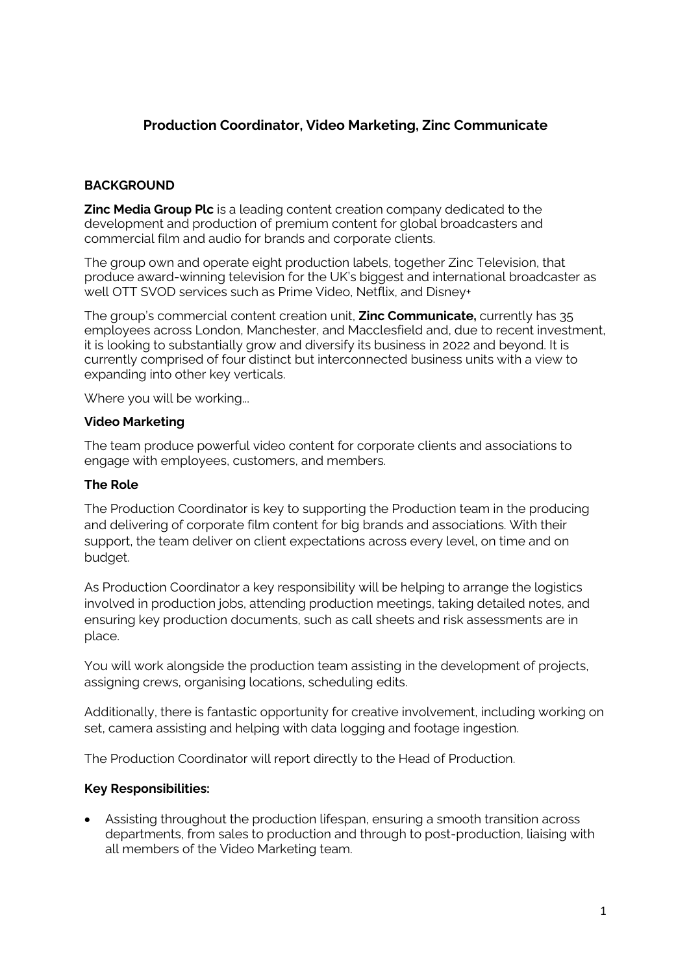# **Production Coordinator, Video Marketing, Zinc Communicate**

## **BACKGROUND**

**Zinc Media Group Plc** is a leading content creation company dedicated to the development and production of premium content for global broadcasters and commercial film and audio for brands and corporate clients.

The group own and operate eight production labels, together Zinc Television, that produce award-winning television for the UK's biggest and international broadcaster as well OTT SVOD services such as Prime Video, Netflix, and Disney+

The group's commercial content creation unit, **Zinc Communicate,** currently has 35 employees across London, Manchester, and Macclesfield and, due to recent investment, it is looking to substantially grow and diversify its business in 2022 and beyond. It is currently comprised of four distinct but interconnected business units with a view to expanding into other key verticals.

Where you will be working...

### **Video Marketing**

The team produce powerful video content for corporate clients and associations to engage with employees, customers, and members.

### **The Role**

The Production Coordinator is key to supporting the Production team in the producing and delivering of corporate film content for big brands and associations. With their support, the team deliver on client expectations across every level, on time and on budget.

As Production Coordinator a key responsibility will be helping to arrange the logistics involved in production jobs, attending production meetings, taking detailed notes, and ensuring key production documents, such as call sheets and risk assessments are in place.

You will work alongside the production team assisting in the development of projects, assigning crews, organising locations, scheduling edits.

Additionally, there is fantastic opportunity for creative involvement, including working on set, camera assisting and helping with data logging and footage ingestion.

The Production Coordinator will report directly to the Head of Production.

### **Key Responsibilities:**

• Assisting throughout the production lifespan, ensuring a smooth transition across departments, from sales to production and through to post-production, liaising with all members of the Video Marketing team.